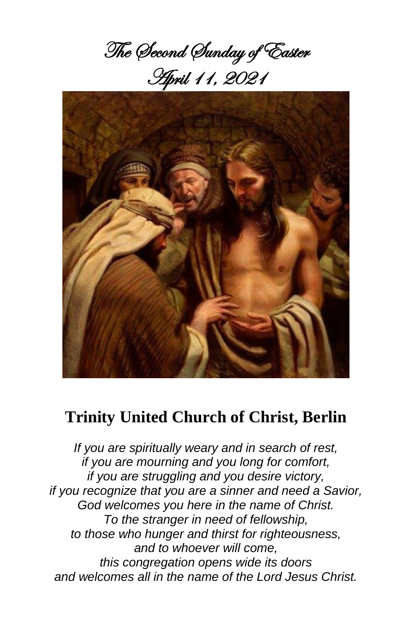The Second Sunday of Easter April 11, 2021



# **Trinity United Church of Christ, Berlin**

*If you are spiritually weary and in search of rest, if you are mourning and you long for comfort, if you are struggling and you desire victory, if you recognize that you are a sinner and need a Savior, God welcomes you here in the name of Christ. To the stranger in need of fellowship, to those who hunger and thirst for righteousness, and to whoever will come, this congregation opens wide its doors and welcomes all in the name of the Lord Jesus Christ.*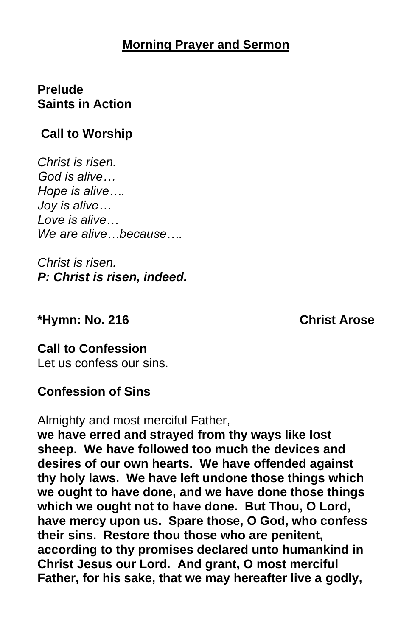### **Morning Prayer and Sermon**

## **Prelude Saints in Action**

# **Call to Worship**

*Christ is risen. God is alive… Hope is alive…. Joy is alive… Love is alive… We are alive…because….*

*Christ is risen. P: Christ is risen, indeed.*

#### **\*Hymn: No. 216 Christ Arose**

**Call to Confession** Let us confess our sins.

#### **Confession of Sins**

Almighty and most merciful Father,

**we have erred and strayed from thy ways like lost sheep. We have followed too much the devices and desires of our own hearts. We have offended against thy holy laws. We have left undone those things which we ought to have done, and we have done those things which we ought not to have done. But Thou, O Lord, have mercy upon us. Spare those, O God, who confess their sins. Restore thou those who are penitent, according to thy promises declared unto humankind in Christ Jesus our Lord. And grant, O most merciful Father, for his sake, that we may hereafter live a godly,**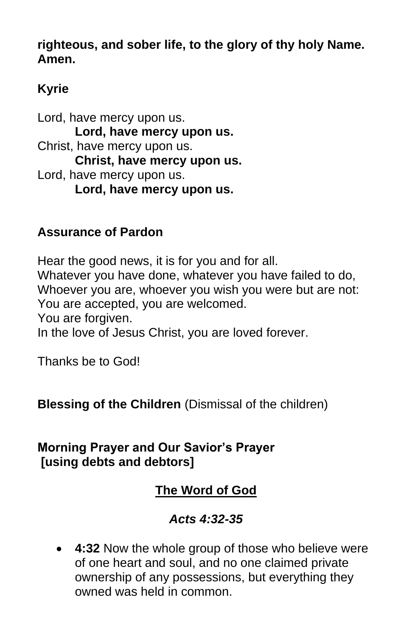**righteous, and sober life, to the glory of thy holy Name. Amen.**

# **Kyrie**

Lord, have mercy upon us. **Lord, have mercy upon us.** Christ, have mercy upon us. **Christ, have mercy upon us.** Lord, have mercy upon us. **Lord, have mercy upon us.**

## **Assurance of Pardon**

Hear the good news, it is for you and for all. Whatever you have done, whatever you have failed to do, Whoever you are, whoever you wish you were but are not: You are accepted, you are welcomed. You are forgiven. In the love of Jesus Christ, you are loved forever.

Thanks be to God!

**Blessing of the Children** (Dismissal of the children)

# **Morning Prayer and Our Savior's Prayer [using debts and debtors]**

# **The Word of God**

# *Acts 4:32-35*

• **4:32** Now the whole group of those who believe were of one heart and soul, and no one claimed private ownership of any possessions, but everything they owned was held in common.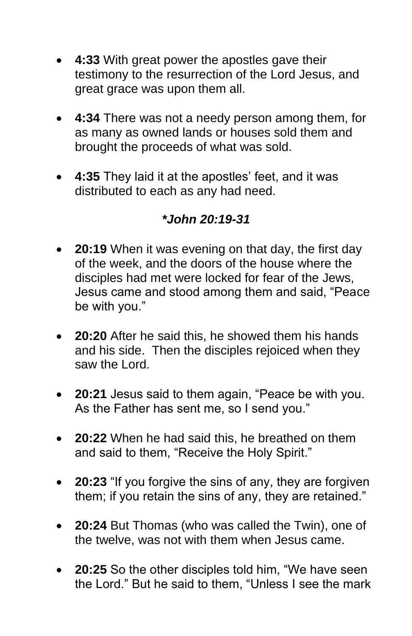- **4:33** With great power the apostles gave their testimony to the resurrection of the Lord Jesus, and great grace was upon them all.
- **4:34** There was not a needy person among them, for as many as owned lands or houses sold them and brought the proceeds of what was sold.
- **4:35** They laid it at the apostles' feet, and it was distributed to each as any had need.

# *\*John 20:19-31*

- **20:19** When it was evening on that day, the first day of the week, and the doors of the house where the disciples had met were locked for fear of the Jews, Jesus came and stood among them and said, "Peace be with you."
- **20:20** After he said this, he showed them his hands and his side. Then the disciples rejoiced when they saw the Lord.
- **20:21** Jesus said to them again, "Peace be with you. As the Father has sent me, so I send you."
- **20:22** When he had said this, he breathed on them and said to them, "Receive the Holy Spirit."
- **20:23** "If you forgive the sins of any, they are forgiven them; if you retain the sins of any, they are retained."
- **20:24** But Thomas (who was called the Twin), one of the twelve, was not with them when Jesus came.
- **20:25** So the other disciples told him, "We have seen the Lord." But he said to them, "Unless I see the mark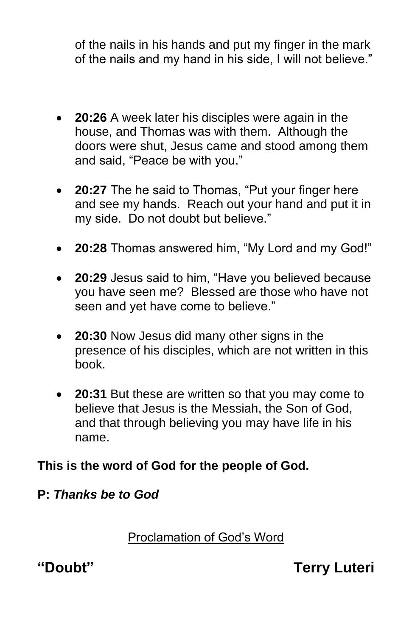of the nails in his hands and put my finger in the mark of the nails and my hand in his side, I will not believe."

- **20:26** A week later his disciples were again in the house, and Thomas was with them. Although the doors were shut, Jesus came and stood among them and said, "Peace be with you."
- **20:27** The he said to Thomas, "Put your finger here and see my hands. Reach out your hand and put it in my side. Do not doubt but believe."
- **20:28** Thomas answered him, "My Lord and my God!"
- **20:29** Jesus said to him, "Have you believed because you have seen me? Blessed are those who have not seen and yet have come to believe."
- **20:30** Now Jesus did many other signs in the presence of his disciples, which are not written in this book.
- **20:31** But these are written so that you may come to believe that Jesus is the Messiah, the Son of God, and that through believing you may have life in his name.

# **This is the word of God for the people of God.**

# **P:** *Thanks be to God*

Proclamation of God's Word

**"Doubt" Terry Luteri**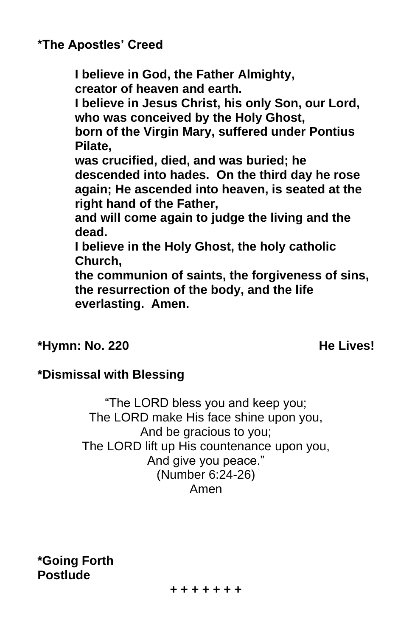# **\*The Apostles' Creed**

**I believe in God, the Father Almighty, creator of heaven and earth. I believe in Jesus Christ, his only Son, our Lord, who was conceived by the Holy Ghost, born of the Virgin Mary, suffered under Pontius Pilate, was crucified, died, and was buried; he descended into hades. On the third day he rose again; He ascended into heaven, is seated at the right hand of the Father, and will come again to judge the living and the dead. I believe in the Holy Ghost, the holy catholic Church, the communion of saints, the forgiveness of sins, the resurrection of the body, and the life** 

**everlasting. Amen.**

#### **\*Hymn: No. 220 He Lives!**

# **\*Dismissal with Blessing**

"The LORD bless you and keep you; The LORD make His face shine upon you, And be gracious to you; The LORD lift up His countenance upon you, And give you peace." (Number 6:24-26) Amen

**\*Going Forth Postlude**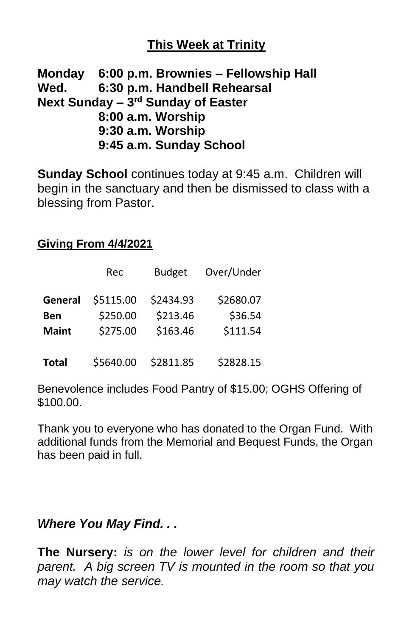# **This Week at Trinity**

#### **Monday 6:00 p.m. Brownies – Fellowship Hall Wed. 6:30 p.m. Handbell Rehearsal Next Sunday – 3 rd Sunday of Easter 8:00 a.m. Worship 9:30 a.m. Worship 9:45 a.m. Sunday School**

**Sunday School** continues today at 9:45 a.m. Children will begin in the sanctuary and then be dismissed to class with a blessing from Pastor.

**Giving From 4/4/2021**

|              | Rec       | <b>Budget</b> | Over/Under |
|--------------|-----------|---------------|------------|
| General      | \$5115.00 | \$2434.93     | \$2680.07  |
| Ben          | \$250.00  | \$213.46      | \$36.54    |
| <b>Maint</b> | \$275.00  | \$163.46      | \$111.54   |
| <b>Total</b> | \$5640.00 | \$2811.85     | \$2828.15  |

Benevolence includes Food Pantry of \$15.00; OGHS Offering of \$100.00.

Thank you to everyone who has donated to the Organ Fund. With additional funds from the Memorial and Bequest Funds, the Organ has been paid in full.

#### *Where You May Find. . .*

**The Nursery:** *is on the lower level for children and their parent. A big screen TV is mounted in the room so that you may watch the service.*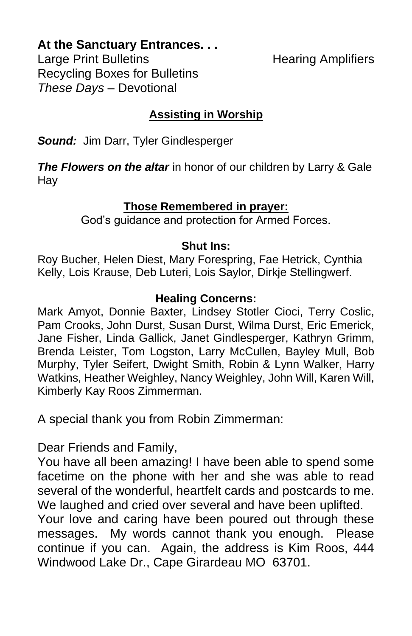#### **At the Sanctuary Entrances. . .**

Large Print Bulletins **Example 20** Hearing Amplifiers Recycling Boxes for Bulletins *These Days –* Devotional

## **Assisting in Worship**

*Sound:* Jim Darr, Tyler Gindlesperger

**The Flowers on the altar** in honor of our children by Larry & Gale Hay

#### **Those Remembered in prayer:**

God's guidance and protection for Armed Forces.

#### **Shut Ins:**

Roy Bucher, Helen Diest, Mary Forespring, Fae Hetrick, Cynthia Kelly, Lois Krause, Deb Luteri, Lois Saylor, Dirkje Stellingwerf.

#### **Healing Concerns:**

Mark Amyot, Donnie Baxter, Lindsey Stotler Cioci, Terry Coslic, Pam Crooks, John Durst, Susan Durst, Wilma Durst, Eric Emerick, Jane Fisher, Linda Gallick, Janet Gindlesperger, Kathryn Grimm, Brenda Leister, Tom Logston, Larry McCullen, Bayley Mull, Bob Murphy, Tyler Seifert, Dwight Smith, Robin & Lynn Walker, Harry Watkins, Heather Weighley, Nancy Weighley, John Will, Karen Will, Kimberly Kay Roos Zimmerman.

A special thank you from Robin Zimmerman:

Dear Friends and Family,

You have all been amazing! I have been able to spend some facetime on the phone with her and she was able to read several of the wonderful, heartfelt cards and postcards to me. We laughed and cried over several and have been uplifted.

Your love and caring have been poured out through these messages. My words cannot thank you enough. Please continue if you can. Again, the address is Kim Roos, 444 Windwood Lake Dr., Cape Girardeau MO 63701.